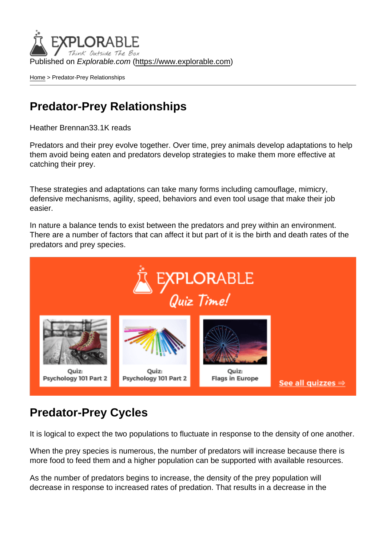Published on Explorable.com (<https://www.explorable.com>)

[Home](https://www.explorable.com/) > Predator-Prey Relationships

# Predator-Prey Relationships

Heather Brennan33.1K reads

Predators and their prey evolve together. Over time, prey animals develop adaptations to help them avoid being eaten and predators develop strategies to make them more effective at catching their prey.

These strategies and adaptations can take many forms including camouflage, mimicry, defensive mechanisms, agility, speed, behaviors and even tool usage that make their job easier.

In nature a balance tends to exist between the predators and prey within an environment. There are a number of factors that can affect it but part of it is the birth and death rates of the predators and prey species.

# Predator-Prey Cycles

It is logical to expect the two populations to fluctuate in response to the density of one another.

When the prey species is numerous, the number of predators will increase because there is more food to feed them and a higher population can be supported with available resources.

As the number of predators begins to increase, the density of the prey population will decrease in response to increased rates of predation. That results in a decrease in the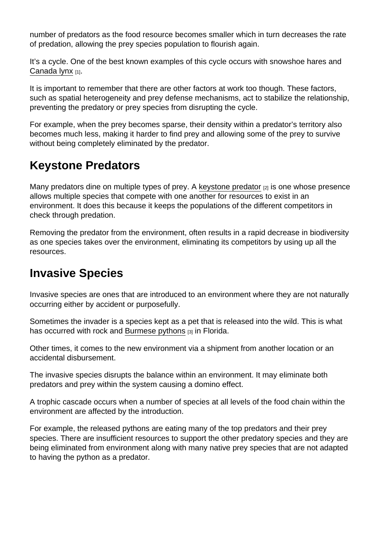number of predators as the food resource becomes smaller which in turn decreases the rate of predation, allowing the prey species population to flourish again.

It's a cycle. One of the best known examples of this cycle occurs with snowshoe hares and [Canada lynx](http://bio.fsu.edu/~james/krebs.pdf) [1].

It is important to remember that there are other factors at work too though. These factors, such as spatial heterogeneity and prey defense mechanisms, act to stabilize the relationship, preventing the predatory or prey species from disrupting the cycle.

For example, when the prey becomes sparse, their density within a predator's territory also becomes much less, making it harder to find prey and allowing some of the prey to survive without being completely eliminated by the predator.

# Keystone Predators

Many predators dine on multiple types of prey. A [keystone predator](http://education.nationalgeographic.com/education/encyclopedia/keystone-species/?ar_a=1) [2] is one whose presence allows multiple species that compete with one another for resources to exist in an environment. It does this because it keeps the populations of the different competitors in check through predation.

Removing the predator from the environment, often results in a rapid decrease in biodiversity as one species takes over the environment, eliminating its competitors by using up all the resources.

### Invasive Species

Invasive species are ones that are introduced to an environment where they are not naturally occurring either by accident or purposefully.

Sometimes the invader is a species kept as a pet that is released into the wild. This is what has occurred with rock and [Burmese pythons](http://www.bio.davidson.edu/people/midorcas/research/Pythons/Python.htm) [3] in Florida.

Other times, it comes to the new environment via a shipment from another location or an accidental disbursement.

The invasive species disrupts the balance within an environment. It may eliminate both predators and prey within the system causing a domino effect.

A trophic cascade occurs when a number of species at all levels of the food chain within the environment are affected by the introduction.

For example, the released pythons are eating many of the top predators and their prey species. There are insufficient resources to support the other predatory species and they are being eliminated from environment along with many native prey species that are not adapted to having the python as a predator.